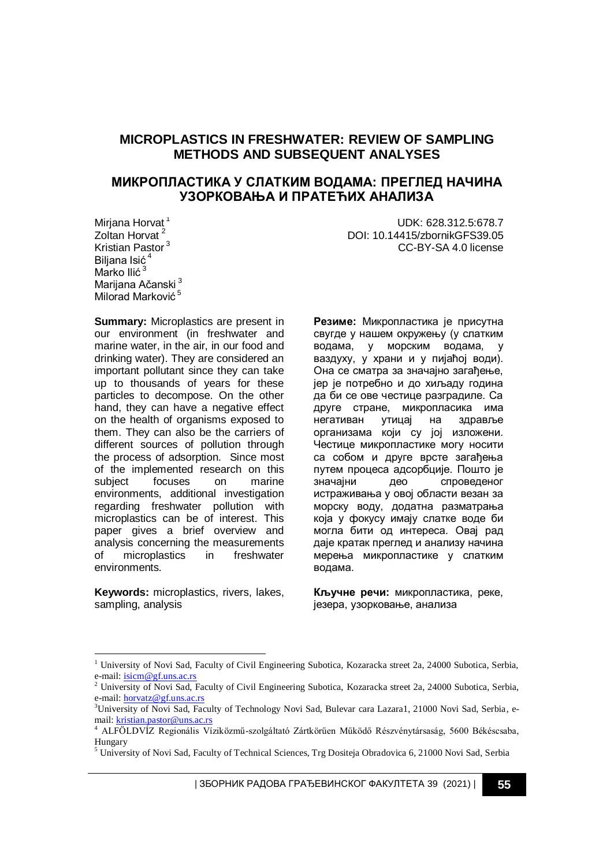## **MICROPLASTICS IN FRESHWATER: REVIEW OF SAMPLING METHODS AND SUBSEQUENT ANALYSES**

# **МИКРОПЛАСТИКА У СЛАТКИМ ВОДАМА: ПРЕГЛЕД НАЧИНА УЗОРКОВАЊА И ПРАТЕЋИХ АНАЛИЗА**

Mirjana Horvat<sup>1</sup> Zoltan Horvat<sup>2</sup> Kristian Pastor <sup>3</sup> Biljana Isić <sup>4</sup> Marko Ilić<sup>3</sup> Marijana Ačanski<sup>3</sup> Milorad Marković<sup>5</sup>

**Summary:** Microplastics are present in our environment (in freshwater and marine water, in the air, in our food and drinking water). They are considered an important pollutant since they can take up to thousands of years for these particles to decompose. On the other hand, they can have a negative effect on the health of organisms exposed to them. They can also be the carriers of different sources of pollution through the process of adsorption. Since most of the implemented research on this subject focuses on marine environments, additional investigation regarding freshwater pollution with microplastics can be of interest. This paper gives a brief overview and analysis concerning the measurements of microplastics in freshwater environments.

**Keywords:** microplastics, rivers, lakes, sampling, analysis

1

UDK: 628.312.5:678.7 DOI: 10.14415/zbornikGFS39.05 CC-BY-SA 4.0 license

**Резиме:** Микропластика је присутна свугде у нашем окружењу (у слатким водама, у морским водама, у ваздуху, у храни и у пијаћој води). Она се сматра за значајно загађење, јер је потребно и до хиљаду година да би се ове честице разградиле. Са друге стране, микропласика има негативан утицај на здравље организама који су јој изложени. Честице микропластике могу носити са собом и друге врсте загађења путем процеса адсорбције. Пошто је значајни део спроведеног истраживања у овој области везан за морску воду, додатна разматрања која у фокусу имају слатке воде би могла бити од интереса. Овај рад даје кратак преглед и анализу начина мерења микропластике у слатким водама.

**Кључне речи:** микропластика, реке, језера, узорковање, анализа

| ЗБОРНИК РАДОВА ГРАЂЕВИНСКОГ ФАКУЛТЕТА 39 (2021) | **55**

<sup>&</sup>lt;sup>1</sup> University of Novi Sad, Faculty of Civil Engineering Subotica, Kozaracka street 2a, 24000 Subotica, Serbia, e-mail:  $\frac{1}{2}$  [isicm@gf.uns.ac.rs](mailto:isicm@gf.uns.ac.rs)

<sup>2</sup> University of Novi Sad, Faculty of Civil Engineering Subotica, Kozaracka street 2a, 24000 Subotica, Serbia, e-mail: [horvatz@gf.uns.ac.rs](mailto:horvatz@gf.uns.ac.rs) 

<sup>&</sup>lt;sup>3</sup>University of Novi Sad, Faculty of Technology Novi Sad, Bulevar cara Lazara1, 21000 Novi Sad, Serbia, email: [kristian.pastor@uns.ac.rs](mailto:kristian.pastor@uns.ac.rs)

<sup>4</sup> ALFÖLDVÍZ Regionális Víziközmű-szolgáltató Zártkörűen Működő Részvénytársaság, 5600 Békéscsaba, Hungary

<sup>&</sup>lt;sup>5</sup> University of Novi Sad, Faculty of Technical Sciences, Trg Dositeja Obradovica 6, 21000 Novi Sad, Serbia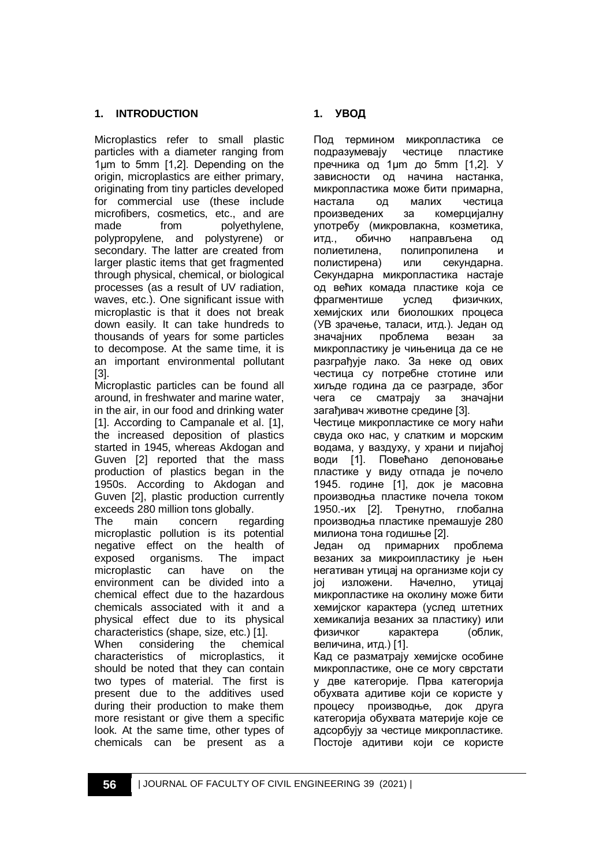## **1. INTRODUCTION**

Microplastics refer to small plastic particles with a diameter ranging from 1µm to 5mm [1,2]. Depending on the origin, microplastics are either primary, originating from tiny particles developed for commercial use (these include microfibers, cosmetics, etc., and are made from polyethylene, polypropylene, and polystyrene) or secondary. The latter are created from larger plastic items that get fragmented through physical, chemical, or biological processes (as a result of UV radiation, waves, etc.). One significant issue with microplastic is that it does not break down easily. It can take hundreds to thousands of years for some particles to decompose. At the same time, it is an important environmental pollutant [3].

Microplastic particles can be found all around, in freshwater and marine water, in the air, in our food and drinking water [1]. According to Campanale et al. [1], the increased deposition of plastics started in 1945, whereas Akdogan and Guven [2] reported that the mass production of plastics began in the 1950s. According to Akdogan and Guven [2], plastic production currently exceeds 280 million tons globally.

The main concern regarding microplastic pollution is its potential negative effect on the health of exposed organisms. The impact microplastic can have on the environment can be divided into a chemical effect due to the hazardous chemicals associated with it and a physical effect due to its physical characteristics (shape, size, etc.) [1].

When considering the chemical characteristics of microplastics, it should be noted that they can contain two types of material. The first is present due to the additives used during their production to make them more resistant or give them a specific look. At the same time, other types of chemicals can be present as a

# **1. УВОД**

Под термином микропластика се подразумевају честице пластике пречника од 1µm до 5mm [1,2]. У зависности од начина настанка, микропластика може бити примарна, настала од малих честица произведених за комерцијалну употребу (микровлакна, козметика, итд., обично направљена од полиетилена, полипропилена полистирена) или секундарна. Секундарна микропластика настаје од већих комада пластике која се фрагментише услед физичких, хемијских или биолошких процеса (УВ зрачење, таласи, итд.). Један од значајних проблема везан за микропластику је чињеница да се не разграђује лако. За неке од ових честица су потребне стотине или хиљде година да се разграде, због чега се сматрају за значајни загађивач животне средине [3].

Честице микропластике се могу наћи свуда око нас, у слатким и морским водама, у ваздуху, у храни и пијаћој води [1]. Повећано депоновање пластике у виду отпада је почело 1945. године [1], док је масовна производња пластике почела током 1950.-их [2]. Тренутно, глобална производња пластике премашује 280 милиона тона годишње [2].

Један од примарних проблема везаних за микроипластику је њен негативан утицај на организме који су јој изложени. Начелно, утицај микропластике на околину може бити хемијског карактера (услед штетних хемикалија везаних за пластику) или физичког карактера (облик, величина, итд.) [1].

Кад се разматрају хемијске особине микропластике, оне се могу сврстати у две категорије. Прва категорија обухвата адитиве који се користе у процесу производње, док друга категорија обухвата материје које се адсорбују за честице микропластике. Постоје адитиви који се користе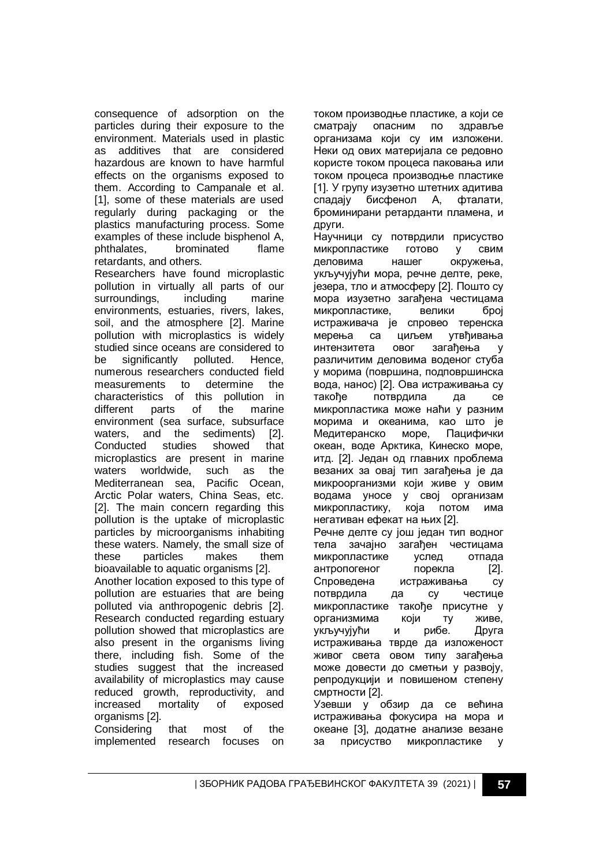consequence of adsorption on the particles during their exposure to the environment. Materials used in plastic as additives that are considered hazardous are known to have harmful effects on the organisms exposed to them. According to Campanale et al. [1], some of these materials are used regularly during packaging or the plastics manufacturing process. Some examples of these include bisphenol A, phthalates, brominated flame retardants, and others.

Researchers have found microplastic pollution in virtually all parts of our<br>surroundings, including marine surroundings, including marine environments, estuaries, rivers, lakes, soil, and the atmosphere [2]. Marine pollution with microplastics is widely studied since oceans are considered to be significantly polluted. Hence, numerous researchers conducted field measurements to determine the characteristics of this pollution in different parts of the marine environment (sea surface, subsurface waters, and the sediments) [2]. Conducted studies showed that microplastics are present in marine waters worldwide, such as the Mediterranean sea, Pacific Ocean, Arctic Polar waters, China Seas, etc. [2]. The main concern regarding this pollution is the uptake of microplastic particles by microorganisms inhabiting these waters. Namely, the small size of these particles makes them bioavailable to aquatic organisms [2]. Another location exposed to this type of pollution are estuaries that are being polluted via anthropogenic debris [2]. Research conducted regarding estuary pollution showed that microplastics are also present in the organisms living there, including fish. Some of the studies suggest that the increased availability of microplastics may cause reduced growth, reproductivity, and increased mortality of exposed

organisms [2]. Considering that most of the implemented research focuses on

током производње пластике, а који се сматрају опасним по здравље организама који су им изложени. Неки од ових материјала се редовно користе током процеса паковања или током процеса производње пластике [1]. У групу изузетно штетних адитива спадају бисфенол А, фталати, броминирани ретарданти пламена, и други.

Научници су потврдили присуство микропластике готово у свим деловима нашег окружења, укључујући мора, речне делте, реке, језера, тло и атмосферу [2]. Пошто су мора изузетно загађена честицама микропластике, велики број истраживача је спровео теренска мерења са циљем утвђивања<br>интензитета овог загаћења у интензитета овог загађења у различитим деловима воденог стуба у морима (површина, подповршинска вода, нанос) [2]. Ова истраживања су такође потврдила да се микропластика може наћи у разним морима и океанима, као што је Медитеранско море, Пацифички океан, воде Арктика, Кинеско море, итд. [2]. Један од главних проблема везаних за овај тип загађења је да микроорганизми који живе у овим водама уносе у свој организам микропластику, која потом има негативан ефекат на њих [2]. Речне делте су још један тип водног тела зачајно загађен честицама микропластике услед отпада антропогеног порекла [2]. Спроведена истраживања су потврдила да су честице микропластике такође присутне у организмима који ту живе, укључујући и рибе. Друга истраживања тврде да изложеност живог света овом типу загађења може довести до сметњи у развоју, репродукцији и повишеном степену смртности [2].

Узевши у обзир да се већина истраживања фокусира на мора и океане [3], додатне анализе везане за присуство микропластике у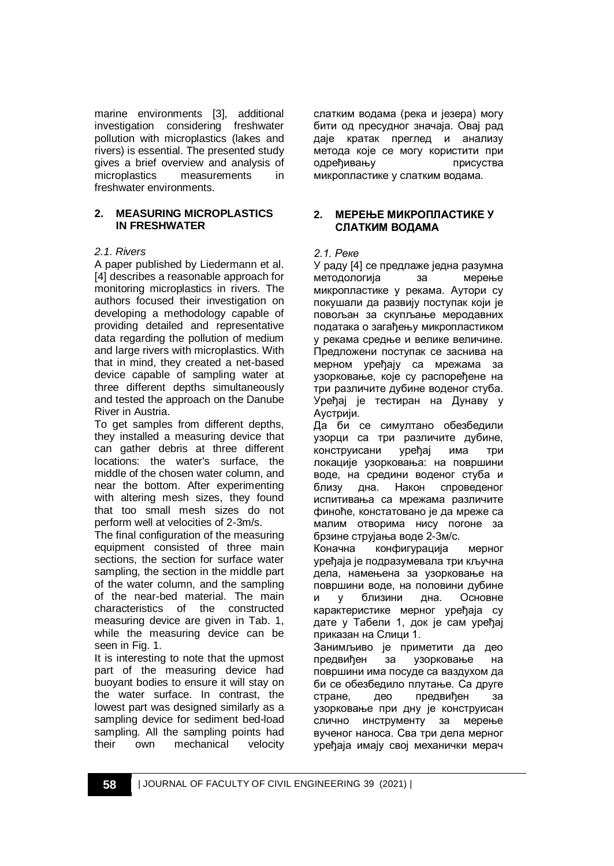marine environments [3], additional investigation considering freshwater pollution with microplastics (lakes and rivers) is essential. The presented study gives a brief overview and analysis of microplastics measurements in freshwater environments.

### **2. MEASURING MICROPLASTICS IN FRESHWATER**

## *2.1. Rivers*

A paper published by Liedermann et al. [4] describes a reasonable approach for monitoring microplastics in rivers. The authors focused their investigation on developing a methodology capable of providing detailed and representative data regarding the pollution of medium and large rivers with microplastics. With that in mind, they created a net-based device capable of sampling water at three different depths simultaneously and tested the approach on the Danube River in Austria.

To get samples from different depths, they installed a measuring device that can gather debris at three different locations: the water's surface, the middle of the chosen water column, and near the bottom. After experimenting with altering mesh sizes, they found that too small mesh sizes do not perform well at velocities of 2-3m/s.

The final configuration of the measuring equipment consisted of three main sections, the section for surface water sampling, the section in the middle part of the water column, and the sampling of the near-bed material. The main characteristics of the constructed measuring device are given in Tab. 1, while the measuring device can be seen in Fig. 1.

It is interesting to note that the upmost part of the measuring device had buoyant bodies to ensure it will stay on the water surface. In contrast, the lowest part was designed similarly as a sampling device for sediment bed-load sampling. All the sampling points had<br>their own mechanical velocity their own mechanical velocity слатким водама (река и језера) могу бити од пресудног значаја. Овај рад даје кратак преглед и анализу метода које се могу користити при одређивању присуства микропластике у слатким водама.

## **2. МЕРЕЊЕ МИКРОПЛАСТИКЕ У СЛАТКИМ ВОДАМА**

## *2.1. Реке*

У раду [4] се предлаже једна разумна методологија за мерење микропластике у рекама. Аутори су покушали да развију поступак који је повољан за скупљање меродавних података о загађењу микропластиком у рекама средње и велике величине. Предложени поступак се заснива на мерном уређају са мрежама за узорковање, које су распоређене на три различите дубине воденог стуба. Уређај је тестиран на Дунаву у Аустрији.

Да би се симултано обезбедили узорци са три различите дубине, конструисани уређај има три локације узорковања: на површини воде, на средини воденог стуба и близу дна. Након спроведеног испитивања са мрежама различите финоће, констатовано је да мреже са малим отворима нису погоне за брзине струјања воде 2-3м/с.

Коначна конфигурација мерног уређаја је подразумевала три кључна дела, намењена за узорковање на површини воде, на половини дубине и у близини дна. Основне карактеристике мерног уређаја су дате у Табели 1, док је сам уређај приказан на Слици 1.

Занимљиво је приметити да део предвиђен за узорковање на површини има посуде са ваздухом да би се обезбедило плутање. Са друге стране, део предвиђен за узорковање при дну је конструисан слично инструменту за мерење вученог наноса. Сва три дела мерног уређаја имају свој механички мерач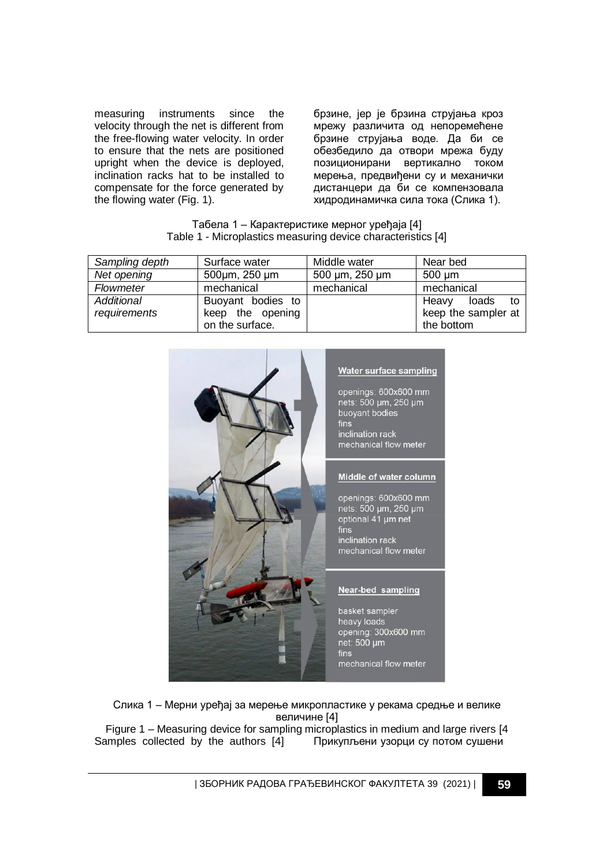measuring instruments since the velocity through the net is different from the free-flowing water velocity. In order to ensure that the nets are positioned upright when the device is deployed, inclination racks hat to be installed to compensate for the force generated by the flowing water (Fig. 1).

брзине, јер је брзина струјања кроз мрежу различита од непоремећене брзине струјања воде. Да би се обезбедило да отвори мрежа буду позиционирани вертикално током мерења, предвиђени су и механички дистанцери да би се компензовала хидродинамичка сила тока (Слика 1).

| Табела 1 – Карактеристике мерног уређаја [4]                 |  |
|--------------------------------------------------------------|--|
| Table 1 - Microplastics measuring device characteristics [4] |  |

| Sampling depth | Surface water             | Middle water   | Near bed             |
|----------------|---------------------------|----------------|----------------------|
| Net opening    | $500 \mu m$ , 250 $\mu m$ | 500 µm, 250 µm | 500 um               |
| Flowmeter      | mechanical                | mechanical     | mechanical           |
| Additional     | Buoyant bodies to         |                | loads<br>to<br>Heavv |
| requirements   | keep the opening          |                | keep the sampler at  |
|                | on the surface.           |                | the bottom           |



Слика 1 – Мерни уређај за мерење микропластике у рекама средње и велике величине [4]

Figure 1 – Measuring device for sampling microplastics in medium and large rivers [4 Samples collected by the authors [4] Прикупљени узорци су потом сушени

| ЗБОРНИК РАДОВА ГРАЂЕВИНСКОГ ФАКУЛТЕТА 39 (2021) | **59**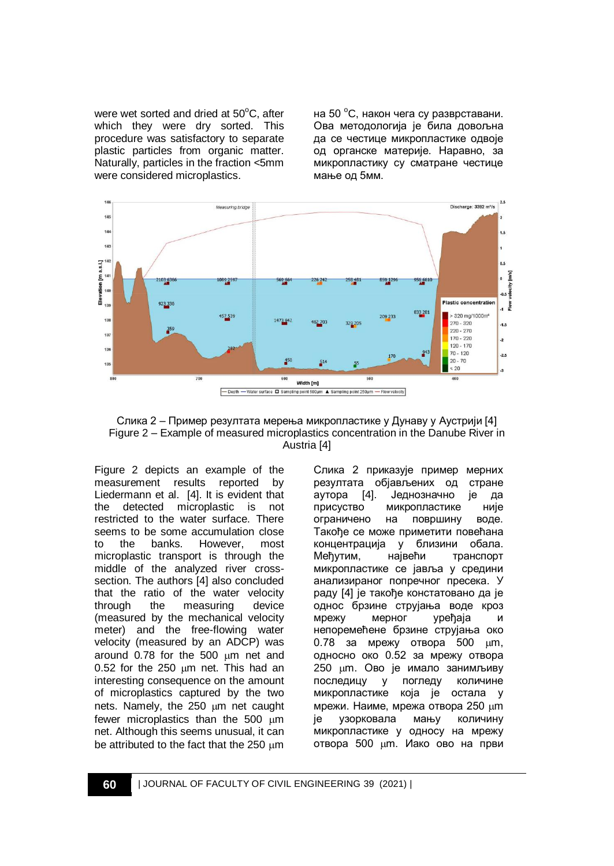were wet sorted and dried at  $50^{\circ}$ C, after which they were dry sorted. This procedure was satisfactory to separate plastic particles from organic matter. Naturally, particles in the fraction <5mm were considered microplastics.

на 50 °С, након чега су разврставани. Ова методологија је била довољна да се честице микропластике одвоје од органске материје. Наравно, за микропластику су сматране честице мање од 5мм.



Слика 2 – Пример резултата мерења микропластике у Дунаву у Аустрији [4] Figure 2 – Example of measured microplastics concentration in the Danube River in Austria [4]

Figure 2 depicts an example of the measurement results reported by Liedermann et al. [4]. It is evident that the detected microplastic is not restricted to the water surface. There seems to be some accumulation close to the banks. However, most microplastic transport is through the middle of the analyzed river crosssection. The authors [4] also concluded that the ratio of the water velocity through the measuring device (measured by the mechanical velocity meter) and the free-flowing water velocity (measured by an ADCP) was around 0.78 for the 500 um net and  $0.52$  for the 250  $\mu$ m net. This had an interesting consequence on the amount of microplastics captured by the two nets. Namely, the  $250 \mu m$  net caught fewer microplastics than the  $500 \mu m$ net. Although this seems unusual, it can be attributed to the fact that the 250 um

Слика 2 приказује пример мерних резултата објављених од стране<br>аутора [4]. Једнозначно је да аутора [4]. Једнозначно је да присуство микропластике није ограничено на површину воде. Такође се може приметити повећана концентрација у близини обалa. Међутим, највећи транспорт микропластике се јавља у средини анализираног попречног пресека. У раду [4] је такође констатовано да је однос брзине струјања воде кроз мрежу мерног уређаја и непоремећене брзине струјања око 0.78 за мрежу отвора 500  $\mu$ m, односно око 0.52 за мрежу отвора 250 m. Ово је имало занимљиву последицу у погледу количине микропластике која је остала у мрежи. Наиме, мрежа отвора 250 µm је узорковала мању количину микропластике у односу на мрежу отвора 500 µm. Иако ово на први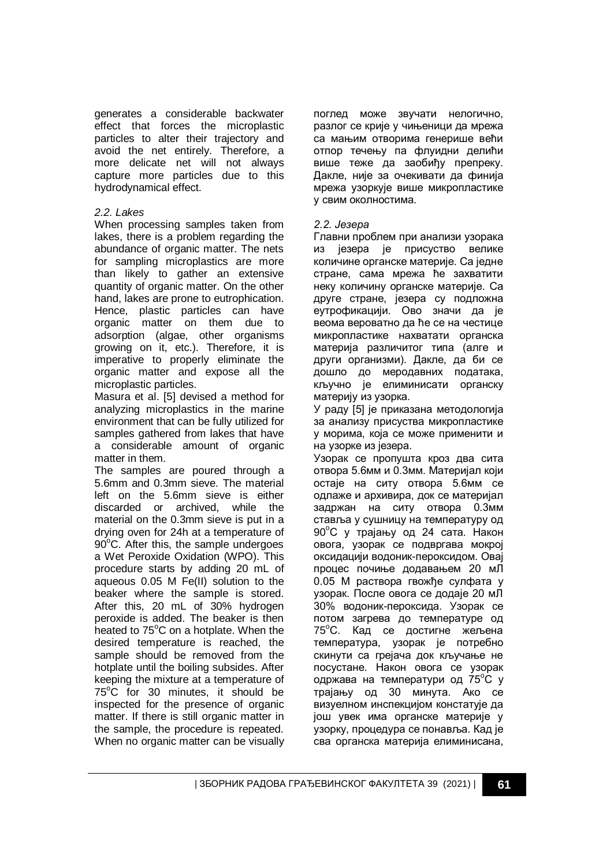generates a considerable backwater effect that forces the microplastic particles to alter their trajectory and avoid the net entirely. Therefore, a more delicate net will not always capture more particles due to this hydrodynamical effect.

#### *2.2. Lakes*

When processing samples taken from lakes, there is a problem regarding the abundance of organic matter. The nets for sampling microplastics are more than likely to gather an extensive quantity of organic matter. On the other hand, lakes are prone to eutrophication. Hence, plastic particles can have organic matter on them due to adsorption (algae, other organisms growing on it, etc.). Therefore, it is imperative to properly eliminate the organic matter and expose all the microplastic particles.

Masura et al. [5] devised a method for analyzing microplastics in the marine environment that can be fully utilized for samples gathered from lakes that have a considerable amount of organic matter in them.

The samples are poured through a 5.6mm and 0.3mm sieve. The material left on the 5.6mm sieve is either discarded or archived, while the material on the 0.3mm sieve is put in a drying oven for 24h at a temperature of 90°C. After this, the sample undergoes a Wet Peroxide Oxidation (WPO). This procedure starts by adding 20 mL of aqueous 0.05 M Fe(II) solution to the beaker where the sample is stored. After this, 20 mL of 30% hydrogen peroxide is added. The beaker is then heated to  $75^{\circ}$ C on a hotplate. When the desired temperature is reached, the sample should be removed from the hotplate until the boiling subsides. After keeping the mixture at a temperature of  $75^{\circ}$ C for 30 minutes, it should be inspected for the presence of organic matter. If there is still organic matter in the sample, the procedure is repeated. When no organic matter can be visually поглед може звучати нелогично, разлог се крије у чињеници да мрежа са мањим отворима генерише већи отпор течењу па флуидни делићи више теже да заобиђу препреку. Дакле, није за очекивати да финија мрежа узоркује више микропластике у свим околностима.

### *2.2. Језера*

Главни проблем при анализи узорака из језера је присуство велике количине органске материје. Са једне стране, сама мрежа ће захватити неку количину органске материје. Са друге стране, језера су подложна еутрофикацији. Ово значи да је веома вероватно да ће се на честице микропластике нахватати органска материја различитог типа (алге и други организми). Дакле, да би се дошло до меродавних података, кључно је елиминисати органску материју из узорка.

У раду [5] је приказана методологија за анализу присуства микропластике у морима, која се може применити и на узорке из језера.

Узорак се пропушта кроз два сита отвора 5.6мм и 0.3мм. Материјал који остаје на ситу отвора 5.6мм се одлаже и архивира, док се материјал задржан на ситу отвора 0.3мм ставља у сушницу на температуру од 90°С у трајању од 24 сата. Након овога, узорак се подвргава мокрој оксидацији водоник-пероксидом. Овај процес почиње додавањем 20 мЛ 0.05 М раствора гвожђе сулфата у узорак. После овога се додаје 20 мЛ 30% водоник-пероксида. Узорак се потом загрева до температуре од 75<sup>°</sup>С. Кад се достигне жељена температура, узорак је потребно скинути са грејача док кључање не посустане. Након овога се узорак одржава на температури од 75°С у трајању од 30 минута. Ако се визуелном инспекцијом констатује да још увек има органске материје у узорку, процедура се понавља. Кад је сва органска материја елиминисана,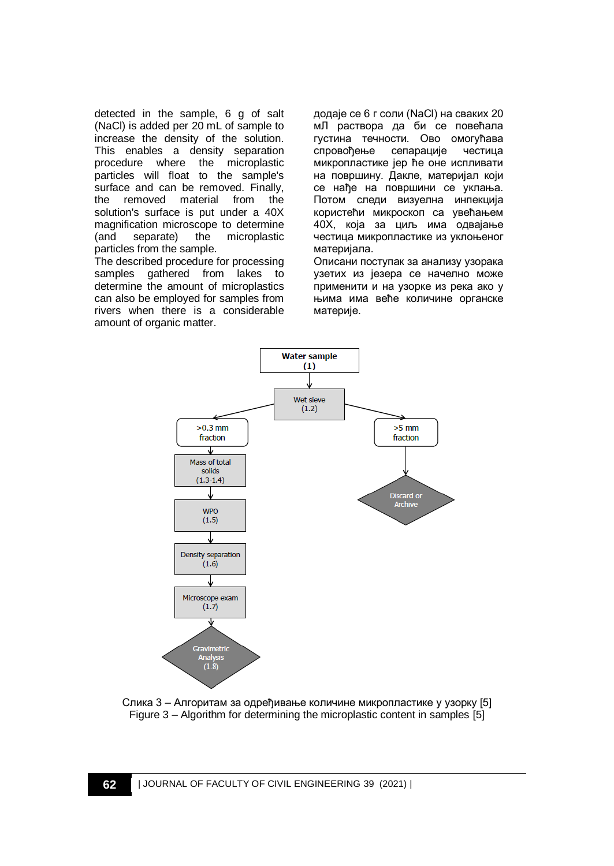detected in the sample, 6 g of salt (NaCl) is added per 20 mL of sample to increase the density of the solution. This enables a density separation procedure where the microplastic particles will float to the sample's surface and can be removed. Finally, the removed material from the solution's surface is put under a 40X magnification microscope to determine (and separate) the microplastic particles from the sample.

The described procedure for processing samples gathered from lakes to determine the amount of microplastics can also be employed for samples from rivers when there is a considerable amount of organic matter.

додаје се 6 г соли (NaCl) на сваких 20 мЛ раствора да би се повећала густина течности. Ово омогућава спровођење сепарације честица микропластике јер ће оне испливати на површину. Дакле, материјал који се нађе на површини се уклања. Потом следи визуелна инпекција користећи микроскоп са увећањем 40X, која за циљ има одвајање честица микропластике из уклоњеног материјала.

Описани поступак за анализу узорака узетих из језера се начелно може применити и на узорке из река ако у њима има веће количине органске материје.



Слика 3 – Алгоритам за одређивање количине микропластике у узорку [5] Figure 3 – Algorithm for determining the microplastic content in samples [5]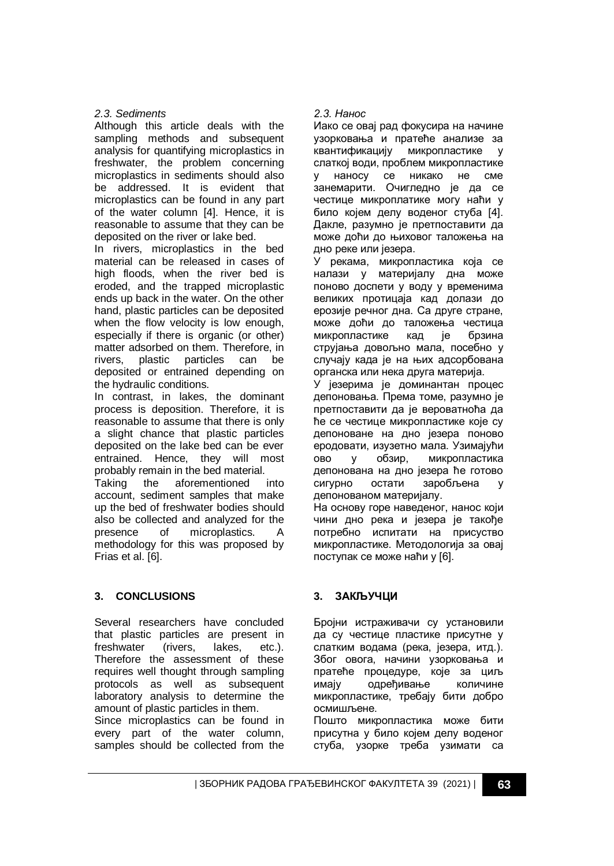## *2.3. Sediments*

Although this article deals with the sampling methods and subsequent analysis for quantifying microplastics in freshwater, the problem concerning microplastics in sediments should also be addressed. It is evident that microplastics can be found in any part of the water column [4]. Hence, it is reasonable to assume that they can be deposited on the river or lake bed.

In rivers, microplastics in the bed material can be released in cases of high floods, when the river bed is eroded, and the trapped microplastic ends up back in the water. On the other hand, plastic particles can be deposited when the flow velocity is low enough, especially if there is organic (or other) matter adsorbed on them. Therefore, in rivers, plastic particles can be deposited or entrained depending on the hydraulic conditions.

In contrast, in lakes, the dominant process is deposition. Therefore, it is reasonable to assume that there is only a slight chance that plastic particles deposited on the lake bed can be ever entrained. Hence, they will most probably remain in the bed material.

Taking the aforementioned into account, sediment samples that make up the bed of freshwater bodies should also be collected and analyzed for the presence of microplastics. A methodology for this was proposed by Frias et al. [6].

## **3. CONCLUSIONS**

Several researchers have concluded that plastic particles are present in freshwater (rivers, lakes, etc.). Therefore the assessment of these requires well thought through sampling protocols as well as subsequent laboratory analysis to determine the amount of plastic particles in them.

Since microplastics can be found in every part of the water column, samples should be collected from the

## *2.3. Нанос*

Иако се овај рад фокусира на начине узорковања и пратеће анализе за квантификацију микропластике у слаткој води, проблем микропластике у наносу се никако не сме занемарити. Очигледно је да се честице микроплатике могу наћи у било којем делу воденог стуба [4]. Дакле, разумно је претпоставити да може доћи до њиховог таложења на дно реке или језера.

У рекама, микропластика која се налази у материјалу дна може поново доспети у воду у временима великих протицаја кад долази до ерозије речног дна. Са друге стране, може доћи до таложења честица<br>микропластике кад је брзина микропластике кад је брзина струјања довољно мала, посебно у случају када је на њих адсорбована органска или нека друга материја.

У језерима је доминантан процес депоновања. Према томе, разумно је претпоставити да је вероватноћа да ће се честице микропластике које су депоноване на дно језера поново еродовати, изузетно мала. Узимајући ово у обзир, микропластика депонована на дно језера ће готово сигурно остати заробљена у депонованом материјалу.

На основу горе наведеног, нанос који чини дно река и језера је такође потребно испитати на присуство микропластике. Методологија за овај поступак се може наћи у [6].

## **3. ЗАКЉУЧЦИ**

Бројни истраживачи су установили да су честице пластике присутне у слатким водама (река, језера, итд.). Због овога, начини узорковања и пратеће процедуре, које за циљ имају одређивање количине микропластике, требају бити добро осмишљене.

Пошто микропластика може бити присутна у било којем делу воденог стуба, узорке треба узимати са